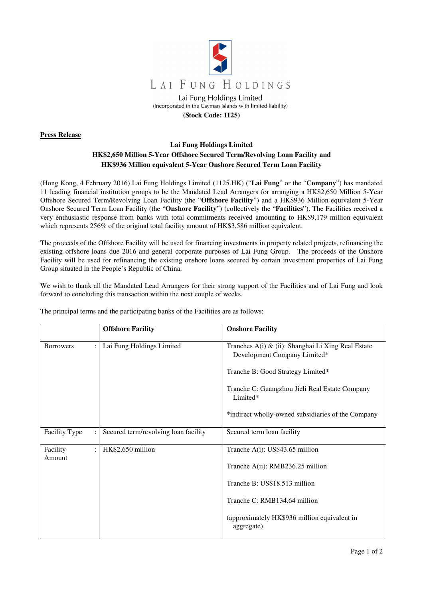

## **Press Release**

## **Lai Fung Holdings Limited HK\$2,650 Million 5-Year Offshore Secured Term/Revolving Loan Facility and HK\$936 Million equivalent 5-Year Onshore Secured Term Loan Facility**

(Hong Kong, 4 February 2016) Lai Fung Holdings Limited (1125.HK) ("**Lai Fung**" or the "**Company**") has mandated 11 leading financial institution groups to be the Mandated Lead Arrangers for arranging a HK\$2,650 Million 5-Year Offshore Secured Term/Revolving Loan Facility (the "**Offshore Facility**") and a HK\$936 Million equivalent 5-Year Onshore Secured Term Loan Facility (the "**Onshore Facility**") (collectively the "**Facilities**"). The Facilities received a very enthusiastic response from banks with total commitments received amounting to HK\$9,179 million equivalent which represents 256% of the original total facility amount of HK\$3,586 million equivalent.

The proceeds of the Offshore Facility will be used for financing investments in property related projects, refinancing the existing offshore loans due 2016 and general corporate purposes of Lai Fung Group. The proceeds of the Onshore Facility will be used for refinancing the existing onshore loans secured by certain investment properties of Lai Fung Group situated in the People's Republic of China.

We wish to thank all the Mandated Lead Arrangers for their strong support of the Facilities and of Lai Fung and look forward to concluding this transaction within the next couple of weeks.

|                    | <b>Offshore Facility</b>             | <b>Onshore Facility</b>                                                            |
|--------------------|--------------------------------------|------------------------------------------------------------------------------------|
| <b>Borrowers</b>   | Lai Fung Holdings Limited            | Tranches A(i) & (ii): Shanghai Li Xing Real Estate<br>Development Company Limited* |
|                    |                                      | Tranche B: Good Strategy Limited*                                                  |
|                    |                                      | Tranche C: Guangzhou Jieli Real Estate Company<br>Limited*                         |
|                    |                                      | *indirect wholly-owned subsidiaries of the Company                                 |
| Facility Type      | Secured term/revolving loan facility | Secured term loan facility                                                         |
| Facility<br>Amount | HK\$2,650 million                    | Tranche $A(i)$ : US\$43.65 million                                                 |
|                    |                                      | Tranche A(ii): RMB236.25 million                                                   |
|                    |                                      | Tranche B: US\$18.513 million                                                      |
|                    |                                      | Tranche C: RMB134.64 million                                                       |
|                    |                                      | (approximately HK\$936 million equivalent in<br>aggregate)                         |

The principal terms and the participating banks of the Facilities are as follows: